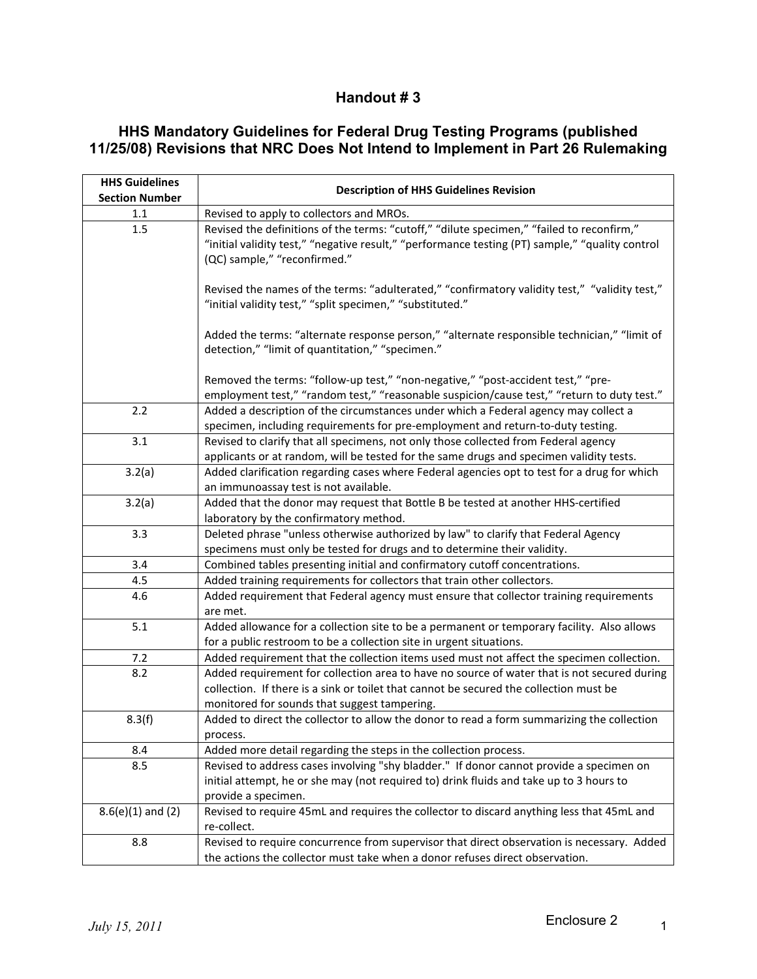## **Handout # 3**

## **HHS Mandatory Guidelines for Federal Drug Testing Programs (published 11/25/08) Revisions that NRC Does Not Intend to Implement in Part 26 Rulemaking**

| <b>HHS Guidelines</b> |                                                                                                                                                                                                                                       |
|-----------------------|---------------------------------------------------------------------------------------------------------------------------------------------------------------------------------------------------------------------------------------|
| <b>Section Number</b> | <b>Description of HHS Guidelines Revision</b>                                                                                                                                                                                         |
| $1.1\,$               | Revised to apply to collectors and MROs.                                                                                                                                                                                              |
| 1.5                   | Revised the definitions of the terms: "cutoff," "dilute specimen," "failed to reconfirm,"<br>"initial validity test," "negative result," "performance testing (PT) sample," "quality control<br>(QC) sample," "reconfirmed."          |
|                       | Revised the names of the terms: "adulterated," "confirmatory validity test," "validity test,"<br>"initial validity test," "split specimen," "substituted."                                                                            |
|                       | Added the terms: "alternate response person," "alternate responsible technician," "limit of<br>detection," "limit of quantitation," "specimen."                                                                                       |
|                       | Removed the terms: "follow-up test," "non-negative," "post-accident test," "pre-<br>employment test," "random test," "reasonable suspicion/cause test," "return to duty test."                                                        |
| 2.2                   | Added a description of the circumstances under which a Federal agency may collect a<br>specimen, including requirements for pre-employment and return-to-duty testing.                                                                |
| 3.1                   | Revised to clarify that all specimens, not only those collected from Federal agency<br>applicants or at random, will be tested for the same drugs and specimen validity tests.                                                        |
| 3.2(a)                | Added clarification regarding cases where Federal agencies opt to test for a drug for which<br>an immunoassay test is not available.                                                                                                  |
| 3.2(a)                | Added that the donor may request that Bottle B be tested at another HHS-certified<br>laboratory by the confirmatory method.                                                                                                           |
| 3.3                   | Deleted phrase "unless otherwise authorized by law" to clarify that Federal Agency<br>specimens must only be tested for drugs and to determine their validity.                                                                        |
| 3.4                   | Combined tables presenting initial and confirmatory cutoff concentrations.                                                                                                                                                            |
| 4.5                   | Added training requirements for collectors that train other collectors.                                                                                                                                                               |
| 4.6                   | Added requirement that Federal agency must ensure that collector training requirements<br>are met.                                                                                                                                    |
| 5.1                   | Added allowance for a collection site to be a permanent or temporary facility. Also allows<br>for a public restroom to be a collection site in urgent situations.                                                                     |
| 7.2                   | Added requirement that the collection items used must not affect the specimen collection.                                                                                                                                             |
| 8.2                   | Added requirement for collection area to have no source of water that is not secured during<br>collection. If there is a sink or toilet that cannot be secured the collection must be<br>monitored for sounds that suggest tampering. |
| 8.3(f)                | Added to direct the collector to allow the donor to read a form summarizing the collection<br>process.                                                                                                                                |
| 8.4                   | Added more detail regarding the steps in the collection process.                                                                                                                                                                      |
| 8.5                   | Revised to address cases involving "shy bladder." If donor cannot provide a specimen on<br>initial attempt, he or she may (not required to) drink fluids and take up to 3 hours to<br>provide a specimen.                             |
| $8.6(e)(1)$ and (2)   | Revised to require 45mL and requires the collector to discard anything less that 45mL and<br>re-collect.                                                                                                                              |
| 8.8                   | Revised to require concurrence from supervisor that direct observation is necessary. Added<br>the actions the collector must take when a donor refuses direct observation.                                                            |